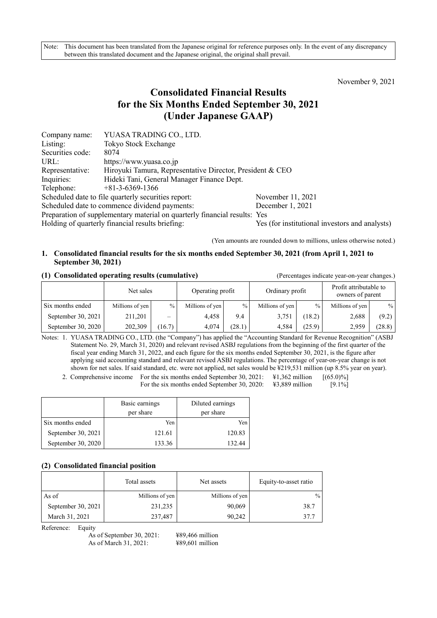Note: This document has been translated from the Japanese original for reference purposes only. In the event of any discrepancy between this translated document and the Japanese original, the original shall prevail.

November 9, 2021

# **Consolidated Financial Results for the Six Months Ended September 30, 2021 (Under Japanese GAAP)**

| Company name:    | YUASA TRADING CO., LTD.                                                   |                                                |
|------------------|---------------------------------------------------------------------------|------------------------------------------------|
| Listing:         | <b>Tokyo Stock Exchange</b>                                               |                                                |
| Securities code: | 8074                                                                      |                                                |
| URL:             | https://www.yuasa.co.jp                                                   |                                                |
| Representative:  | Hiroyuki Tamura, Representative Director, President & CEO                 |                                                |
| Inquiries:       | Hideki Tani, General Manager Finance Dept.                                |                                                |
| Telephone:       | $+81-3-6369-1366$                                                         |                                                |
|                  | Scheduled date to file quarterly securities report:                       | November 11, 2021                              |
|                  | Scheduled date to commence dividend payments:                             | December 1, 2021                               |
|                  | Preparation of supplementary material on quarterly financial results: Yes |                                                |
|                  | Holding of quarterly financial results briefing:                          | Yes (for institutional investors and analysts) |

(Yen amounts are rounded down to millions, unless otherwise noted.)

## **1. Consolidated financial results for the six months ended September 30, 2021 (from April 1, 2021 to September 30, 2021)**

#### **(1) Consolidated operating results (cumulative)** (Percentages indicate year-on-year changes.)

|                    | Net sales       |                          | Operating profit |               |                 |               | Ordinary profit |        | Profit attributable to<br>owners of parent |  |
|--------------------|-----------------|--------------------------|------------------|---------------|-----------------|---------------|-----------------|--------|--------------------------------------------|--|
| Six months ended   | Millions of yen | $\%$                     | Millions of yen  | $\frac{0}{0}$ | Millions of yen | $\frac{0}{0}$ | Millions of yen | $\%$   |                                            |  |
| September 30, 2021 | 211,201         | $\overline{\phantom{m}}$ | 4.458            | 9.4           | 3,751           | (18.2)        | 2,688           | (9.2)  |                                            |  |
| September 30, 2020 | 202,309         | (16.7)                   | 4.074            | (28.1)        | 4.584           | (25.9)        | 2,959           | (28.8) |                                            |  |

Notes: 1. YUASA TRADING CO., LTD. (the "Company") has applied the "Accounting Standard for Revenue Recognition" (ASBJ Statement No. 29, March 31, 2020) and relevant revised ASBJ regulations from the beginning of the first quarter of the fiscal year ending March 31, 2022, and each figure for the six months ended September 30, 2021, is the figure after applying said accounting standard and relevant revised ASBJ regulations. The percentage of year-on-year change is not shown for net sales. If said standard, etc. were not applied, net sales would be ¥219,531 million (up 8.5% year on year).

2. Comprehensive income For the six months ended September 30, 2021: \ftms 41,362 million [(65.0)%] For the six months ended September 30, 2020: \ff \\ \#3,889 million [9.1%]

|                    | Basic earnings<br>per share | Diluted earnings<br>per share |  |
|--------------------|-----------------------------|-------------------------------|--|
| Six months ended   | Yen                         | Yen                           |  |
| September 30, 2021 | 121.61                      | 120.83                        |  |
| September 30, 2020 | 133.36                      | 132.44                        |  |

## **(2) Consolidated financial position**

|                    | Total assets    | Net assets      | Equity-to-asset ratio |
|--------------------|-----------------|-----------------|-----------------------|
| As of              | Millions of yen | Millions of yen | $\frac{0}{0}$         |
| September 30, 2021 | 231,235         | 90,069          | 38.7                  |
| March 31, 2021     | 237,487         | 90.242          | 37.7                  |

Reference: Equity

As of September 30, 2021: ¥89,466 million As of March 31, 2021: ¥89,601 million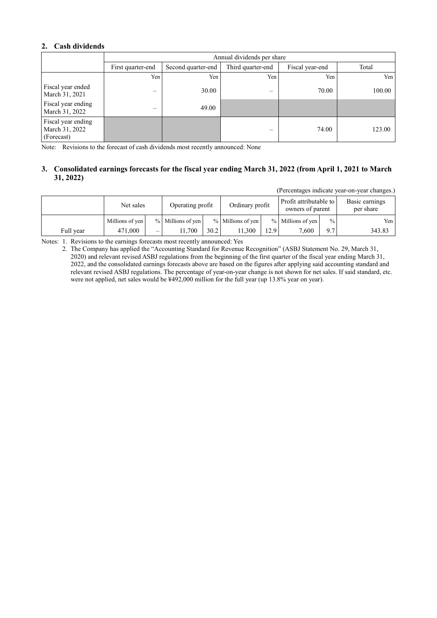## **2. Cash dividends**

|                                                    | Annual dividends per share |                    |                   |                 |        |  |
|----------------------------------------------------|----------------------------|--------------------|-------------------|-----------------|--------|--|
|                                                    | First quarter-end          | Second quarter-end | Third quarter-end | Fiscal year-end | Total  |  |
|                                                    | Yen                        | Yen                | Yen               | Yen             | Yen    |  |
| Fiscal year ended<br>March 31, 2021                |                            | 30.00              | -                 | 70.00           | 100.00 |  |
| Fiscal year ending<br>March 31, 2022               | –                          | 49.00              |                   |                 |        |  |
| Fiscal year ending<br>March 31, 2022<br>(Forecast) |                            |                    | –                 | 74.00           | 123.00 |  |

Note: Revisions to the forecast of cash dividends most recently announced: None

## **3. Consolidated earnings forecasts for the fiscal year ending March 31, 2022 (from April 1, 2021 to March 31, 2022)**

(Percentages indicate year-on-year changes.)

|           | Net sales       |                          | Operating profit  |      | Ordinary profit   |      | Profit attributable to<br>owners of parent |      | Basic earnings<br>per share |
|-----------|-----------------|--------------------------|-------------------|------|-------------------|------|--------------------------------------------|------|-----------------------------|
|           | Millions of yen |                          | % Millions of yen |      | % Millions of yen |      | % Millions of yen                          | $\%$ | Yen I                       |
| Full year | 471,000         | $\overline{\phantom{m}}$ | . 1.700           | 30.2 | 11.300            | 12.9 | 7.600                                      | 9.7  | 343.83                      |

Notes: 1. Revisions to the earnings forecasts most recently announced: Yes

2. The Company has applied the "Accounting Standard for Revenue Recognition" (ASBJ Statement No. 29, March 31, 2020) and relevant revised ASBJ regulations from the beginning of the first quarter of the fiscal year ending March 31, 2022, and the consolidated earnings forecasts above are based on the figures after applying said accounting standard and relevant revised ASBJ regulations. The percentage of year-on-year change is not shown for net sales. If said standard, etc. were not applied, net sales would be ¥492,000 million for the full year (up 13.8% year on year).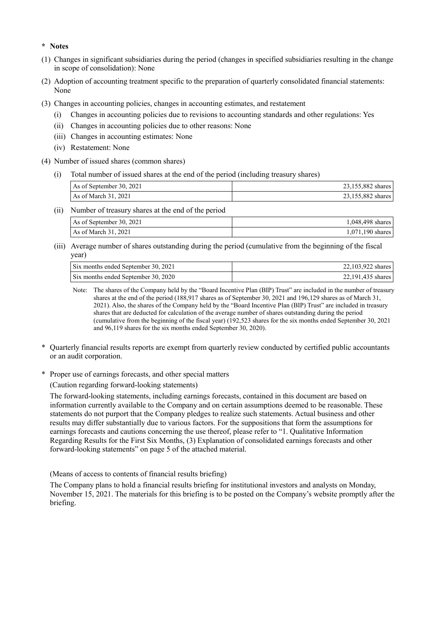#### **\* Notes**

- (1) Changes in significant subsidiaries during the period (changes in specified subsidiaries resulting in the change in scope of consolidation): None
- (2) Adoption of accounting treatment specific to the preparation of quarterly consolidated financial statements: None
- (3) Changes in accounting policies, changes in accounting estimates, and restatement
	- (i) Changes in accounting policies due to revisions to accounting standards and other regulations: Yes
	- (ii) Changes in accounting policies due to other reasons: None
	- (iii) Changes in accounting estimates: None
	- (iv) Restatement: None
- (4) Number of issued shares (common shares)
	- (i) Total number of issued shares at the end of the period (including treasury shares)

| As of September 30, 2021 | 23,155,882 shares |
|--------------------------|-------------------|
| As of March 31, 2021     | 23,155,882 shares |

(ii) Number of treasury shares at the end of the period

| As of September 30, 2021 | 1,048,498 shares   |
|--------------------------|--------------------|
| As of March 31, 2021     | $1,071,190$ shares |

(iii) Average number of shares outstanding during the period (cumulative from the beginning of the fiscal year)

| Six months ended September 30, 2021 | 22.103.922 shares |
|-------------------------------------|-------------------|
| Six months ended September 30, 2020 | 22,191,435 shares |

Note: The shares of the Company held by the "Board Incentive Plan (BIP) Trust" are included in the number of treasury shares at the end of the period (188,917 shares as of September 30, 2021 and 196,129 shares as of March 31, 2021). Also, the shares of the Company held by the "Board Incentive Plan (BIP) Trust" are included in treasury shares that are deducted for calculation of the average number of shares outstanding during the period (cumulative from the beginning of the fiscal year) (192,523 shares for the six months ended September 30, 2021 and 96,119 shares for the six months ended September 30, 2020).

- \* Quarterly financial results reports are exempt from quarterly review conducted by certified public accountants or an audit corporation.
- \* Proper use of earnings forecasts, and other special matters

(Caution regarding forward-looking statements)

The forward-looking statements, including earnings forecasts, contained in this document are based on information currently available to the Company and on certain assumptions deemed to be reasonable. These statements do not purport that the Company pledges to realize such statements. Actual business and other results may differ substantially due to various factors. For the suppositions that form the assumptions for earnings forecasts and cautions concerning the use thereof, please refer to "1. Qualitative Information Regarding Results for the First Six Months, (3) Explanation of consolidated earnings forecasts and other forward-looking statements" on page 5 of the attached material.

(Means of access to contents of financial results briefing)

The Company plans to hold a financial results briefing for institutional investors and analysts on Monday, November 15, 2021. The materials for this briefing is to be posted on the Company's website promptly after the briefing.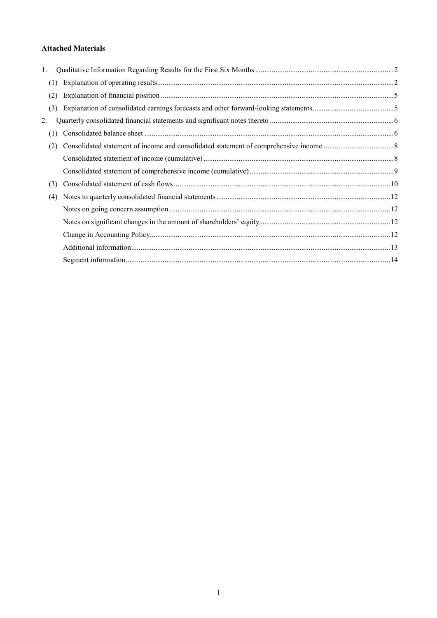## **Attached Materials**

| 1.  |  |
|-----|--|
| (1) |  |
| (2) |  |
| (3) |  |
| 2.  |  |
| (1) |  |
| (2) |  |
|     |  |
|     |  |
| (3) |  |
| (4) |  |
|     |  |
|     |  |
|     |  |
|     |  |
|     |  |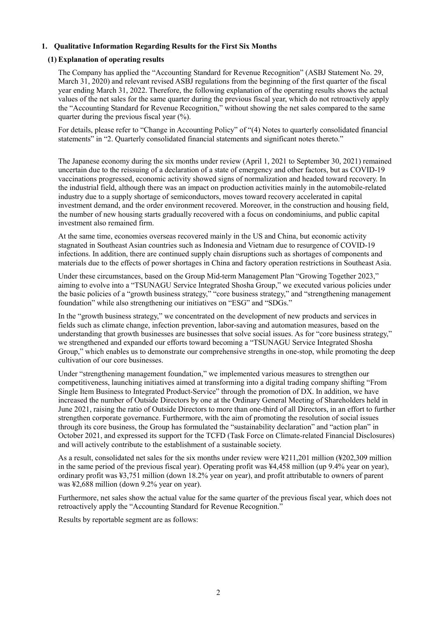## **1. Qualitative Information Regarding Results for the First Six Months**

## **(1) Explanation of operating results**

The Company has applied the "Accounting Standard for Revenue Recognition" (ASBJ Statement No. 29, March 31, 2020) and relevant revised ASBJ regulations from the beginning of the first quarter of the fiscal year ending March 31, 2022. Therefore, the following explanation of the operating results shows the actual values of the net sales for the same quarter during the previous fiscal year, which do not retroactively apply the "Accounting Standard for Revenue Recognition," without showing the net sales compared to the same quarter during the previous fiscal year  $(\%).$ 

For details, please refer to "Change in Accounting Policy" of "(4) Notes to quarterly consolidated financial statements" in "2. Quarterly consolidated financial statements and significant notes thereto."

The Japanese economy during the six months under review (April 1, 2021 to September 30, 2021) remained uncertain due to the reissuing of a declaration of a state of emergency and other factors, but as COVID-19 vaccinations progressed, economic activity showed signs of normalization and headed toward recovery. In the industrial field, although there was an impact on production activities mainly in the automobile-related industry due to a supply shortage of semiconductors, moves toward recovery accelerated in capital investment demand, and the order environment recovered. Moreover, in the construction and housing field, the number of new housing starts gradually recovered with a focus on condominiums, and public capital investment also remained firm.

At the same time, economies overseas recovered mainly in the US and China, but economic activity stagnated in Southeast Asian countries such as Indonesia and Vietnam due to resurgence of COVID-19 infections. In addition, there are continued supply chain disruptions such as shortages of components and materials due to the effects of power shortages in China and factory operation restrictions in Southeast Asia.

Under these circumstances, based on the Group Mid-term Management Plan "Growing Together 2023," aiming to evolve into a "TSUNAGU Service Integrated Shosha Group," we executed various policies under the basic policies of a "growth business strategy," "core business strategy," and "strengthening management foundation" while also strengthening our initiatives on "ESG" and "SDGs."

In the "growth business strategy," we concentrated on the development of new products and services in fields such as climate change, infection prevention, labor-saving and automation measures, based on the understanding that growth businesses are businesses that solve social issues. As for "core business strategy," we strengthened and expanded our efforts toward becoming a "TSUNAGU Service Integrated Shosha Group," which enables us to demonstrate our comprehensive strengths in one-stop, while promoting the deep cultivation of our core businesses.

Under "strengthening management foundation," we implemented various measures to strengthen our competitiveness, launching initiatives aimed at transforming into a digital trading company shifting "From Single Item Business to Integrated Product-Service" through the promotion of DX. In addition, we have increased the number of Outside Directors by one at the Ordinary General Meeting of Shareholders held in June 2021, raising the ratio of Outside Directors to more than one-third of all Directors, in an effort to further strengthen corporate governance. Furthermore, with the aim of promoting the resolution of social issues through its core business, the Group has formulated the "sustainability declaration" and "action plan" in October 2021, and expressed its support for the TCFD (Task Force on Climate-related Financial Disclosures) and will actively contribute to the establishment of a sustainable society.

As a result, consolidated net sales for the six months under review were ¥211,201 million (¥202,309 million in the same period of the previous fiscal year). Operating profit was ¥4,458 million (up 9.4% year on year), ordinary profit was ¥3,751 million (down 18.2% year on year), and profit attributable to owners of parent was ¥2,688 million (down 9.2% year on year).

Furthermore, net sales show the actual value for the same quarter of the previous fiscal year, which does not retroactively apply the "Accounting Standard for Revenue Recognition."

Results by reportable segment are as follows: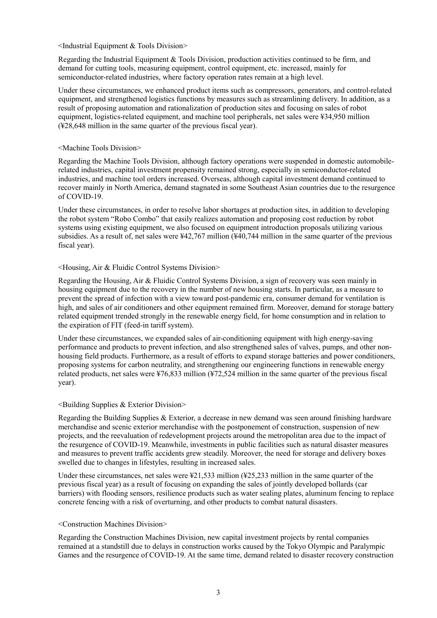<Industrial Equipment & Tools Division>

Regarding the Industrial Equipment & Tools Division, production activities continued to be firm, and demand for cutting tools, measuring equipment, control equipment, etc. increased, mainly for semiconductor-related industries, where factory operation rates remain at a high level.

Under these circumstances, we enhanced product items such as compressors, generators, and control-related equipment, and strengthened logistics functions by measures such as streamlining delivery. In addition, as a result of proposing automation and rationalization of production sites and focusing on sales of robot equipment, logistics-related equipment, and machine tool peripherals, net sales were ¥34,950 million (¥28,648 million in the same quarter of the previous fiscal year).

#### <Machine Tools Division>

Regarding the Machine Tools Division, although factory operations were suspended in domestic automobilerelated industries, capital investment propensity remained strong, especially in semiconductor-related industries, and machine tool orders increased. Overseas, although capital investment demand continued to recover mainly in North America, demand stagnated in some Southeast Asian countries due to the resurgence of COVID-19.

Under these circumstances, in order to resolve labor shortages at production sites, in addition to developing the robot system "Robo Combo" that easily realizes automation and proposing cost reduction by robot systems using existing equipment, we also focused on equipment introduction proposals utilizing various subsidies. As a result of, net sales were ¥42,767 million (¥40,744 million in the same quarter of the previous fiscal year).

#### <Housing, Air & Fluidic Control Systems Division>

Regarding the Housing, Air & Fluidic Control Systems Division, a sign of recovery was seen mainly in housing equipment due to the recovery in the number of new housing starts. In particular, as a measure to prevent the spread of infection with a view toward post-pandemic era, consumer demand for ventilation is high, and sales of air conditioners and other equipment remained firm. Moreover, demand for storage battery related equipment trended strongly in the renewable energy field, for home consumption and in relation to the expiration of FIT (feed-in tariff system).

Under these circumstances, we expanded sales of air-conditioning equipment with high energy-saving performance and products to prevent infection, and also strengthened sales of valves, pumps, and other nonhousing field products. Furthermore, as a result of efforts to expand storage batteries and power conditioners, proposing systems for carbon neutrality, and strengthening our engineering functions in renewable energy related products, net sales were ¥76,833 million (¥72,524 million in the same quarter of the previous fiscal year).

#### <Building Supplies & Exterior Division>

Regarding the Building Supplies & Exterior, a decrease in new demand was seen around finishing hardware merchandise and scenic exterior merchandise with the postponement of construction, suspension of new projects, and the reevaluation of redevelopment projects around the metropolitan area due to the impact of the resurgence of COVID-19. Meanwhile, investments in public facilities such as natural disaster measures and measures to prevent traffic accidents grew steadily. Moreover, the need for storage and delivery boxes swelled due to changes in lifestyles, resulting in increased sales.

Under these circumstances, net sales were ¥21,533 million (¥25,233 million in the same quarter of the previous fiscal year) as a result of focusing on expanding the sales of jointly developed bollards (car barriers) with flooding sensors, resilience products such as water sealing plates, aluminum fencing to replace concrete fencing with a risk of overturning, and other products to combat natural disasters.

#### <Construction Machines Division>

Regarding the Construction Machines Division, new capital investment projects by rental companies remained at a standstill due to delays in construction works caused by the Tokyo Olympic and Paralympic Games and the resurgence of COVID-19. At the same time, demand related to disaster recovery construction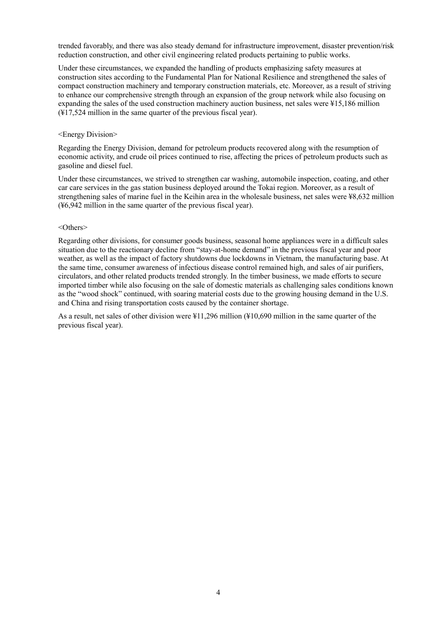trended favorably, and there was also steady demand for infrastructure improvement, disaster prevention/risk reduction construction, and other civil engineering related products pertaining to public works.

Under these circumstances, we expanded the handling of products emphasizing safety measures at construction sites according to the Fundamental Plan for National Resilience and strengthened the sales of compact construction machinery and temporary construction materials, etc. Moreover, as a result of striving to enhance our comprehensive strength through an expansion of the group network while also focusing on expanding the sales of the used construction machinery auction business, net sales were ¥15,186 million (¥17,524 million in the same quarter of the previous fiscal year).

#### <Energy Division>

Regarding the Energy Division, demand for petroleum products recovered along with the resumption of economic activity, and crude oil prices continued to rise, affecting the prices of petroleum products such as gasoline and diesel fuel.

Under these circumstances, we strived to strengthen car washing, automobile inspection, coating, and other car care services in the gas station business deployed around the Tokai region. Moreover, as a result of strengthening sales of marine fuel in the Keihin area in the wholesale business, net sales were ¥8,632 million (¥6,942 million in the same quarter of the previous fiscal year).

#### <Others>

Regarding other divisions, for consumer goods business, seasonal home appliances were in a difficult sales situation due to the reactionary decline from "stay-at-home demand" in the previous fiscal year and poor weather, as well as the impact of factory shutdowns due lockdowns in Vietnam, the manufacturing base. At the same time, consumer awareness of infectious disease control remained high, and sales of air purifiers, circulators, and other related products trended strongly. In the timber business, we made efforts to secure imported timber while also focusing on the sale of domestic materials as challenging sales conditions known as the "wood shock" continued, with soaring material costs due to the growing housing demand in the U.S. and China and rising transportation costs caused by the container shortage.

As a result, net sales of other division were ¥11,296 million (¥10,690 million in the same quarter of the previous fiscal year).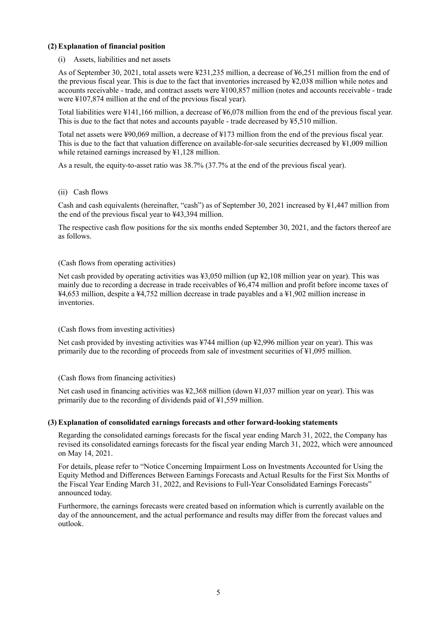### **(2) Explanation of financial position**

(i) Assets, liabilities and net assets

As of September 30, 2021, total assets were ¥231,235 million, a decrease of ¥6,251 million from the end of the previous fiscal year. This is due to the fact that inventories increased by ¥2,038 million while notes and accounts receivable - trade, and contract assets were ¥100,857 million (notes and accounts receivable - trade were ¥107,874 million at the end of the previous fiscal year).

Total liabilities were ¥141,166 million, a decrease of ¥6,078 million from the end of the previous fiscal year. This is due to the fact that notes and accounts payable - trade decreased by ¥5,510 million.

Total net assets were ¥90,069 million, a decrease of ¥173 million from the end of the previous fiscal year. This is due to the fact that valuation difference on available-for-sale securities decreased by ¥1,009 million while retained earnings increased by ¥1,128 million.

As a result, the equity-to-asset ratio was 38.7% (37.7% at the end of the previous fiscal year).

#### (ii) Cash flows

Cash and cash equivalents (hereinafter, "cash") as of September 30, 2021 increased by ¥1,447 million from the end of the previous fiscal year to ¥43,394 million.

The respective cash flow positions for the six months ended September 30, 2021, and the factors thereof are as follows.

#### (Cash flows from operating activities)

Net cash provided by operating activities was ¥3,050 million (up ¥2,108 million year on year). This was mainly due to recording a decrease in trade receivables of ¥6,474 million and profit before income taxes of ¥4,653 million, despite a ¥4,752 million decrease in trade payables and a ¥1,902 million increase in inventories.

## (Cash flows from investing activities)

Net cash provided by investing activities was ¥744 million (up ¥2,996 million year on year). This was primarily due to the recording of proceeds from sale of investment securities of ¥1,095 million.

#### (Cash flows from financing activities)

Net cash used in financing activities was ¥2,368 million (down ¥1,037 million year on year). This was primarily due to the recording of dividends paid of ¥1,559 million.

#### **(3) Explanation of consolidated earnings forecasts and other forward-looking statements**

Regarding the consolidated earnings forecasts for the fiscal year ending March 31, 2022, the Company has revised its consolidated earnings forecasts for the fiscal year ending March 31, 2022, which were announced on May 14, 2021.

For details, please refer to "Notice Concerning Impairment Loss on Investments Accounted for Using the Equity Method and Differences Between Earnings Forecasts and Actual Results for the First Six Months of the Fiscal Year Ending March 31, 2022, and Revisions to Full-Year Consolidated Earnings Forecasts" announced today.

Furthermore, the earnings forecasts were created based on information which is currently available on the day of the announcement, and the actual performance and results may differ from the forecast values and outlook.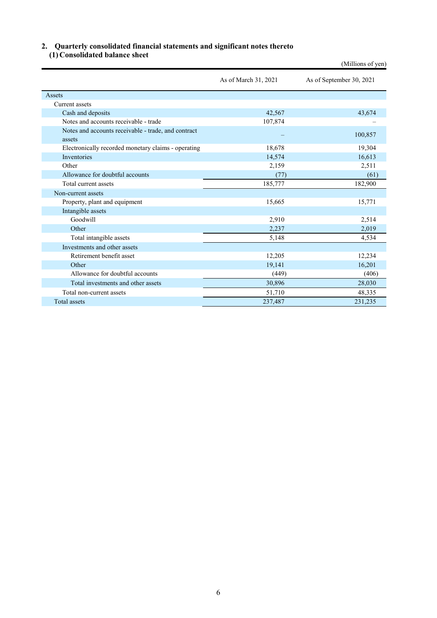# **2. Quarterly consolidated financial statements and significant notes thereto**

**(1) Consolidated balance sheet** 

|                                                               |                      | (Millions of yen)        |
|---------------------------------------------------------------|----------------------|--------------------------|
|                                                               | As of March 31, 2021 | As of September 30, 2021 |
| Assets                                                        |                      |                          |
| Current assets                                                |                      |                          |
| Cash and deposits                                             | 42,567               | 43,674                   |
| Notes and accounts receivable - trade                         | 107,874              |                          |
| Notes and accounts receivable - trade, and contract<br>assets |                      | 100,857                  |
| Electronically recorded monetary claims - operating           | 18,678               | 19,304                   |
| <b>Inventories</b>                                            | 14,574               | 16,613                   |
| Other                                                         | 2,159                | 2,511                    |
| Allowance for doubtful accounts                               | (77)                 | (61)                     |
| Total current assets                                          | 185,777              | 182,900                  |
| Non-current assets                                            |                      |                          |
| Property, plant and equipment                                 | 15,665               | 15,771                   |
| Intangible assets                                             |                      |                          |
| Goodwill                                                      | 2,910                | 2,514                    |
| Other                                                         | 2,237                | 2,019                    |
| Total intangible assets                                       | 5,148                | 4,534                    |
| Investments and other assets                                  |                      |                          |
| Retirement benefit asset                                      | 12,205               | 12,234                   |
| Other                                                         | 19,141               | 16,201                   |
| Allowance for doubtful accounts                               | (449)                | (406)                    |
| Total investments and other assets                            | 30,896               | 28,030                   |
| Total non-current assets                                      | 51,710               | 48,335                   |
| Total assets                                                  | 237,487              | 231,235                  |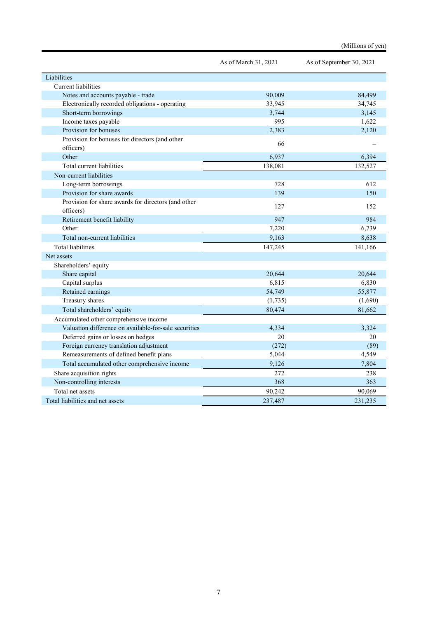|                                                       | As of March 31, 2021 | As of September 30, 2021 |
|-------------------------------------------------------|----------------------|--------------------------|
| Liabilities                                           |                      |                          |
| Current liabilities                                   |                      |                          |
| Notes and accounts payable - trade                    | 90.009               | 84,499                   |
| Electronically recorded obligations - operating       | 33,945               | 34,745                   |
| Short-term borrowings                                 | 3,744                | 3,145                    |
| Income taxes payable                                  | 995                  | 1,622                    |
| Provision for bonuses                                 | 2,383                | 2,120                    |
| Provision for bonuses for directors (and other        |                      |                          |
| officers)                                             | 66                   |                          |
| Other                                                 | 6,937                | 6,394                    |
| Total current liabilities                             | 138,081              | 132,527                  |
| Non-current liabilities                               |                      |                          |
| Long-term borrowings                                  | 728                  | 612                      |
| Provision for share awards                            | 139                  | 150                      |
| Provision for share awards for directors (and other   | 127                  | 152                      |
| officers)                                             |                      |                          |
| Retirement benefit liability                          | 947                  | 984                      |
| Other                                                 | 7,220                | 6,739                    |
| Total non-current liabilities                         | 9,163                | 8,638                    |
| <b>Total liabilities</b>                              | 147,245              | 141,166                  |
| Net assets                                            |                      |                          |
| Shareholders' equity                                  |                      |                          |
| Share capital                                         | 20,644               | 20,644                   |
| Capital surplus                                       | 6,815                | 6,830                    |
| Retained earnings                                     | 54,749               | 55,877                   |
| Treasury shares                                       | (1,735)              | (1,690)                  |
| Total shareholders' equity                            | 80,474               | 81,662                   |
| Accumulated other comprehensive income                |                      |                          |
| Valuation difference on available-for-sale securities | 4,334                | 3,324                    |
| Deferred gains or losses on hedges                    | 20                   | 20                       |
| Foreign currency translation adjustment               | (272)                | (89)                     |
| Remeasurements of defined benefit plans               | 5,044                | 4,549                    |
| Total accumulated other comprehensive income          | 9,126                | 7,804                    |
| Share acquisition rights                              | 272                  | 238                      |
| Non-controlling interests                             | 368                  | 363                      |
| Total net assets                                      | 90,242               | 90,069                   |
| Total liabilities and net assets                      | 237,487              | 231,235                  |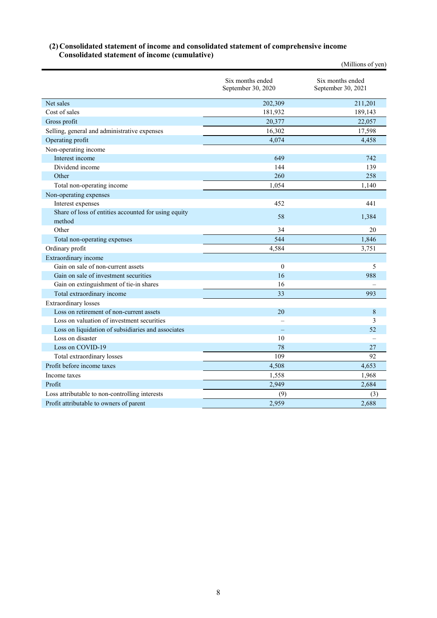### **(2) Consolidated statement of income and consolidated statement of comprehensive income Consolidated statement of income (cumulative)**

|                                                      |                                        | (Millions of yen)                      |
|------------------------------------------------------|----------------------------------------|----------------------------------------|
|                                                      | Six months ended<br>September 30, 2020 | Six months ended<br>September 30, 2021 |
| Net sales                                            | 202,309                                | 211,201                                |
| Cost of sales                                        | 181,932                                | 189,143                                |
| Gross profit                                         | 20,377                                 | 22,057                                 |
| Selling, general and administrative expenses         | 16,302                                 | 17,598                                 |
| Operating profit                                     | 4,074                                  | 4,458                                  |
| Non-operating income                                 |                                        |                                        |
| Interest income                                      | 649                                    | 742                                    |
| Dividend income                                      | 144                                    | 139                                    |
| Other                                                | 260                                    | 258                                    |
| Total non-operating income                           | 1,054                                  | 1,140                                  |
| Non-operating expenses                               |                                        |                                        |
| Interest expenses                                    | 452                                    | 441                                    |
| Share of loss of entities accounted for using equity | 58                                     | 1,384                                  |
| method                                               |                                        |                                        |
| Other                                                | 34                                     | 20                                     |
| Total non-operating expenses                         | 544                                    | 1,846                                  |
| Ordinary profit                                      | 4,584                                  | 3,751                                  |
| Extraordinary income                                 |                                        |                                        |
| Gain on sale of non-current assets                   | $\mathbf{0}$                           | 5                                      |
| Gain on sale of investment securities                | 16                                     | 988                                    |
| Gain on extinguishment of tie-in shares              | 16                                     |                                        |
| Total extraordinary income                           | 33                                     | 993                                    |
| <b>Extraordinary</b> losses                          |                                        |                                        |
| Loss on retirement of non-current assets             | 20                                     | 8                                      |
| Loss on valuation of investment securities           |                                        | 3                                      |
| Loss on liquidation of subsidiaries and associates   |                                        | 52                                     |
| Loss on disaster                                     | 10                                     |                                        |
| Loss on COVID-19                                     | 78                                     | 27                                     |
| Total extraordinary losses                           | 109                                    | 92                                     |
| Profit before income taxes                           | 4,508                                  | 4,653                                  |
| Income taxes                                         | 1,558                                  | 1,968                                  |
| Profit                                               | 2,949                                  | 2,684                                  |
| Loss attributable to non-controlling interests       | (9)                                    | (3)                                    |
| Profit attributable to owners of parent              | 2,959                                  | 2,688                                  |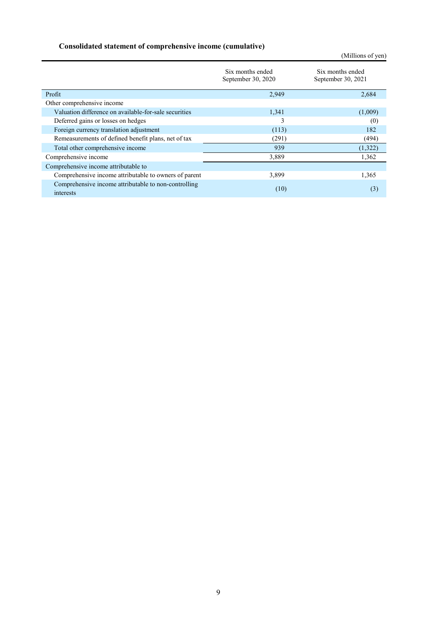## **Consolidated statement of comprehensive income (cumulative)**

|                                                                   |                                        | (Millions of yen)                      |  |  |
|-------------------------------------------------------------------|----------------------------------------|----------------------------------------|--|--|
|                                                                   | Six months ended<br>September 30, 2020 | Six months ended<br>September 30, 2021 |  |  |
| Profit                                                            | 2,949                                  | 2,684                                  |  |  |
| Other comprehensive income                                        |                                        |                                        |  |  |
| Valuation difference on available-for-sale securities             | 1,341                                  | (1,009)                                |  |  |
| Deferred gains or losses on hedges                                | 3                                      | (0)                                    |  |  |
| Foreign currency translation adjustment                           | (113)                                  | 182                                    |  |  |
| Remeasurements of defined benefit plans, net of tax               | (291)                                  | (494)                                  |  |  |
| Total other comprehensive income                                  | 939                                    | (1,322)                                |  |  |
| Comprehensive income                                              | 3,889                                  | 1,362                                  |  |  |
| Comprehensive income attributable to                              |                                        |                                        |  |  |
| Comprehensive income attributable to owners of parent             | 3,899                                  | 1,365                                  |  |  |
| Comprehensive income attributable to non-controlling<br>interests | (10)                                   | (3)                                    |  |  |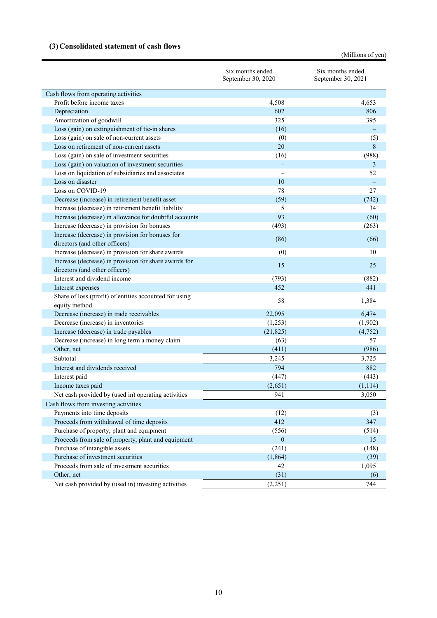## **(3) Consolidated statement of cash flows**

(Millions of yen)

| Cash flows from operating activities<br>Profit before income taxes<br>4,508<br>4,653<br>Depreciation<br>806<br>602<br>Amortization of goodwill<br>325<br>395<br>Loss (gain) on extinguishment of tie-in shares<br>(16)<br>Loss (gain) on sale of non-current assets<br>(0)<br>(5)<br>Loss on retirement of non-current assets<br>20<br>8<br>Loss (gain) on sale of investment securities<br>(988)<br>(16)<br>Loss (gain) on valuation of investment securities<br>3<br>52<br>Loss on liquidation of subsidiaries and associates<br>Loss on disaster<br>10<br>Loss on COVID-19<br>78<br>27<br>Decrease (increase) in retirement benefit asset<br>(59)<br>(742)<br>Increase (decrease) in retirement benefit liability<br>5<br>34<br>93<br>Increase (decrease) in allowance for doubtful accounts<br>(60)<br>(493)<br>Increase (decrease) in provision for bonuses<br>(263)<br>Increase (decrease) in provision for bonuses for<br>(86)<br>(66)<br>directors (and other officers)<br>10<br>Increase (decrease) in provision for share awards<br>(0)<br>Increase (decrease) in provision for share awards for<br>15<br>25<br>directors (and other officers)<br>Interest and dividend income<br>(882)<br>(793)<br>452<br>441<br>Interest expenses<br>Share of loss (profit) of entities accounted for using<br>58<br>1,384<br>equity method<br>Decrease (increase) in trade receivables<br>22,095<br>6,474<br>Decrease (increase) in inventories<br>(1,902)<br>(1,253)<br>Increase (decrease) in trade payables<br>(21, 825)<br>(4, 752)<br>Decrease (increase) in long term a money claim<br>(63)<br>57<br>(986)<br>Other, net<br>(411)<br>Subtotal<br>3,245<br>3,725<br>Interest and dividends received<br>794<br>882<br>(447)<br>Interest paid<br>(443)<br>Income taxes paid<br>(2,651)<br>(1, 114)<br>Net cash provided by (used in) operating activities<br>3,050<br>941<br>Cash flows from investing activities<br>Payments into time deposits<br>(12)<br>(3)<br>Proceeds from withdrawal of time deposits<br>412<br>347<br>Purchase of property, plant and equipment<br>(556)<br>(514)<br>Proceeds from sale of property, plant and equipment<br>$\mathbf{0}$<br>15<br>Purchase of intangible assets<br>(241)<br>(148)<br>Purchase of investment securities<br>(1,864)<br>(39)<br>Proceeds from sale of investment securities<br>42<br>1,095<br>Other, net<br>(31)<br>(6)<br>Net cash provided by (used in) investing activities<br>(2,251)<br>744 | Six months ended<br>September 30, 2020 | Six months ended<br>September 30, 2021 |
|-------------------------------------------------------------------------------------------------------------------------------------------------------------------------------------------------------------------------------------------------------------------------------------------------------------------------------------------------------------------------------------------------------------------------------------------------------------------------------------------------------------------------------------------------------------------------------------------------------------------------------------------------------------------------------------------------------------------------------------------------------------------------------------------------------------------------------------------------------------------------------------------------------------------------------------------------------------------------------------------------------------------------------------------------------------------------------------------------------------------------------------------------------------------------------------------------------------------------------------------------------------------------------------------------------------------------------------------------------------------------------------------------------------------------------------------------------------------------------------------------------------------------------------------------------------------------------------------------------------------------------------------------------------------------------------------------------------------------------------------------------------------------------------------------------------------------------------------------------------------------------------------------------------------------------------------------------------------------------------------------------------------------------------------------------------------------------------------------------------------------------------------------------------------------------------------------------------------------------------------------------------------------------------------------------------------------------------------------------------------------------------------------------------------------------------------------------|----------------------------------------|----------------------------------------|
|                                                                                                                                                                                                                                                                                                                                                                                                                                                                                                                                                                                                                                                                                                                                                                                                                                                                                                                                                                                                                                                                                                                                                                                                                                                                                                                                                                                                                                                                                                                                                                                                                                                                                                                                                                                                                                                                                                                                                                                                                                                                                                                                                                                                                                                                                                                                                                                                                                                       |                                        |                                        |
|                                                                                                                                                                                                                                                                                                                                                                                                                                                                                                                                                                                                                                                                                                                                                                                                                                                                                                                                                                                                                                                                                                                                                                                                                                                                                                                                                                                                                                                                                                                                                                                                                                                                                                                                                                                                                                                                                                                                                                                                                                                                                                                                                                                                                                                                                                                                                                                                                                                       |                                        |                                        |
|                                                                                                                                                                                                                                                                                                                                                                                                                                                                                                                                                                                                                                                                                                                                                                                                                                                                                                                                                                                                                                                                                                                                                                                                                                                                                                                                                                                                                                                                                                                                                                                                                                                                                                                                                                                                                                                                                                                                                                                                                                                                                                                                                                                                                                                                                                                                                                                                                                                       |                                        |                                        |
|                                                                                                                                                                                                                                                                                                                                                                                                                                                                                                                                                                                                                                                                                                                                                                                                                                                                                                                                                                                                                                                                                                                                                                                                                                                                                                                                                                                                                                                                                                                                                                                                                                                                                                                                                                                                                                                                                                                                                                                                                                                                                                                                                                                                                                                                                                                                                                                                                                                       |                                        |                                        |
|                                                                                                                                                                                                                                                                                                                                                                                                                                                                                                                                                                                                                                                                                                                                                                                                                                                                                                                                                                                                                                                                                                                                                                                                                                                                                                                                                                                                                                                                                                                                                                                                                                                                                                                                                                                                                                                                                                                                                                                                                                                                                                                                                                                                                                                                                                                                                                                                                                                       |                                        |                                        |
|                                                                                                                                                                                                                                                                                                                                                                                                                                                                                                                                                                                                                                                                                                                                                                                                                                                                                                                                                                                                                                                                                                                                                                                                                                                                                                                                                                                                                                                                                                                                                                                                                                                                                                                                                                                                                                                                                                                                                                                                                                                                                                                                                                                                                                                                                                                                                                                                                                                       |                                        |                                        |
|                                                                                                                                                                                                                                                                                                                                                                                                                                                                                                                                                                                                                                                                                                                                                                                                                                                                                                                                                                                                                                                                                                                                                                                                                                                                                                                                                                                                                                                                                                                                                                                                                                                                                                                                                                                                                                                                                                                                                                                                                                                                                                                                                                                                                                                                                                                                                                                                                                                       |                                        |                                        |
|                                                                                                                                                                                                                                                                                                                                                                                                                                                                                                                                                                                                                                                                                                                                                                                                                                                                                                                                                                                                                                                                                                                                                                                                                                                                                                                                                                                                                                                                                                                                                                                                                                                                                                                                                                                                                                                                                                                                                                                                                                                                                                                                                                                                                                                                                                                                                                                                                                                       |                                        |                                        |
|                                                                                                                                                                                                                                                                                                                                                                                                                                                                                                                                                                                                                                                                                                                                                                                                                                                                                                                                                                                                                                                                                                                                                                                                                                                                                                                                                                                                                                                                                                                                                                                                                                                                                                                                                                                                                                                                                                                                                                                                                                                                                                                                                                                                                                                                                                                                                                                                                                                       |                                        |                                        |
|                                                                                                                                                                                                                                                                                                                                                                                                                                                                                                                                                                                                                                                                                                                                                                                                                                                                                                                                                                                                                                                                                                                                                                                                                                                                                                                                                                                                                                                                                                                                                                                                                                                                                                                                                                                                                                                                                                                                                                                                                                                                                                                                                                                                                                                                                                                                                                                                                                                       |                                        |                                        |
|                                                                                                                                                                                                                                                                                                                                                                                                                                                                                                                                                                                                                                                                                                                                                                                                                                                                                                                                                                                                                                                                                                                                                                                                                                                                                                                                                                                                                                                                                                                                                                                                                                                                                                                                                                                                                                                                                                                                                                                                                                                                                                                                                                                                                                                                                                                                                                                                                                                       |                                        |                                        |
|                                                                                                                                                                                                                                                                                                                                                                                                                                                                                                                                                                                                                                                                                                                                                                                                                                                                                                                                                                                                                                                                                                                                                                                                                                                                                                                                                                                                                                                                                                                                                                                                                                                                                                                                                                                                                                                                                                                                                                                                                                                                                                                                                                                                                                                                                                                                                                                                                                                       |                                        |                                        |
|                                                                                                                                                                                                                                                                                                                                                                                                                                                                                                                                                                                                                                                                                                                                                                                                                                                                                                                                                                                                                                                                                                                                                                                                                                                                                                                                                                                                                                                                                                                                                                                                                                                                                                                                                                                                                                                                                                                                                                                                                                                                                                                                                                                                                                                                                                                                                                                                                                                       |                                        |                                        |
|                                                                                                                                                                                                                                                                                                                                                                                                                                                                                                                                                                                                                                                                                                                                                                                                                                                                                                                                                                                                                                                                                                                                                                                                                                                                                                                                                                                                                                                                                                                                                                                                                                                                                                                                                                                                                                                                                                                                                                                                                                                                                                                                                                                                                                                                                                                                                                                                                                                       |                                        |                                        |
|                                                                                                                                                                                                                                                                                                                                                                                                                                                                                                                                                                                                                                                                                                                                                                                                                                                                                                                                                                                                                                                                                                                                                                                                                                                                                                                                                                                                                                                                                                                                                                                                                                                                                                                                                                                                                                                                                                                                                                                                                                                                                                                                                                                                                                                                                                                                                                                                                                                       |                                        |                                        |
|                                                                                                                                                                                                                                                                                                                                                                                                                                                                                                                                                                                                                                                                                                                                                                                                                                                                                                                                                                                                                                                                                                                                                                                                                                                                                                                                                                                                                                                                                                                                                                                                                                                                                                                                                                                                                                                                                                                                                                                                                                                                                                                                                                                                                                                                                                                                                                                                                                                       |                                        |                                        |
|                                                                                                                                                                                                                                                                                                                                                                                                                                                                                                                                                                                                                                                                                                                                                                                                                                                                                                                                                                                                                                                                                                                                                                                                                                                                                                                                                                                                                                                                                                                                                                                                                                                                                                                                                                                                                                                                                                                                                                                                                                                                                                                                                                                                                                                                                                                                                                                                                                                       |                                        |                                        |
|                                                                                                                                                                                                                                                                                                                                                                                                                                                                                                                                                                                                                                                                                                                                                                                                                                                                                                                                                                                                                                                                                                                                                                                                                                                                                                                                                                                                                                                                                                                                                                                                                                                                                                                                                                                                                                                                                                                                                                                                                                                                                                                                                                                                                                                                                                                                                                                                                                                       |                                        |                                        |
|                                                                                                                                                                                                                                                                                                                                                                                                                                                                                                                                                                                                                                                                                                                                                                                                                                                                                                                                                                                                                                                                                                                                                                                                                                                                                                                                                                                                                                                                                                                                                                                                                                                                                                                                                                                                                                                                                                                                                                                                                                                                                                                                                                                                                                                                                                                                                                                                                                                       |                                        |                                        |
|                                                                                                                                                                                                                                                                                                                                                                                                                                                                                                                                                                                                                                                                                                                                                                                                                                                                                                                                                                                                                                                                                                                                                                                                                                                                                                                                                                                                                                                                                                                                                                                                                                                                                                                                                                                                                                                                                                                                                                                                                                                                                                                                                                                                                                                                                                                                                                                                                                                       |                                        |                                        |
|                                                                                                                                                                                                                                                                                                                                                                                                                                                                                                                                                                                                                                                                                                                                                                                                                                                                                                                                                                                                                                                                                                                                                                                                                                                                                                                                                                                                                                                                                                                                                                                                                                                                                                                                                                                                                                                                                                                                                                                                                                                                                                                                                                                                                                                                                                                                                                                                                                                       |                                        |                                        |
|                                                                                                                                                                                                                                                                                                                                                                                                                                                                                                                                                                                                                                                                                                                                                                                                                                                                                                                                                                                                                                                                                                                                                                                                                                                                                                                                                                                                                                                                                                                                                                                                                                                                                                                                                                                                                                                                                                                                                                                                                                                                                                                                                                                                                                                                                                                                                                                                                                                       |                                        |                                        |
|                                                                                                                                                                                                                                                                                                                                                                                                                                                                                                                                                                                                                                                                                                                                                                                                                                                                                                                                                                                                                                                                                                                                                                                                                                                                                                                                                                                                                                                                                                                                                                                                                                                                                                                                                                                                                                                                                                                                                                                                                                                                                                                                                                                                                                                                                                                                                                                                                                                       |                                        |                                        |
|                                                                                                                                                                                                                                                                                                                                                                                                                                                                                                                                                                                                                                                                                                                                                                                                                                                                                                                                                                                                                                                                                                                                                                                                                                                                                                                                                                                                                                                                                                                                                                                                                                                                                                                                                                                                                                                                                                                                                                                                                                                                                                                                                                                                                                                                                                                                                                                                                                                       |                                        |                                        |
|                                                                                                                                                                                                                                                                                                                                                                                                                                                                                                                                                                                                                                                                                                                                                                                                                                                                                                                                                                                                                                                                                                                                                                                                                                                                                                                                                                                                                                                                                                                                                                                                                                                                                                                                                                                                                                                                                                                                                                                                                                                                                                                                                                                                                                                                                                                                                                                                                                                       |                                        |                                        |
|                                                                                                                                                                                                                                                                                                                                                                                                                                                                                                                                                                                                                                                                                                                                                                                                                                                                                                                                                                                                                                                                                                                                                                                                                                                                                                                                                                                                                                                                                                                                                                                                                                                                                                                                                                                                                                                                                                                                                                                                                                                                                                                                                                                                                                                                                                                                                                                                                                                       |                                        |                                        |
|                                                                                                                                                                                                                                                                                                                                                                                                                                                                                                                                                                                                                                                                                                                                                                                                                                                                                                                                                                                                                                                                                                                                                                                                                                                                                                                                                                                                                                                                                                                                                                                                                                                                                                                                                                                                                                                                                                                                                                                                                                                                                                                                                                                                                                                                                                                                                                                                                                                       |                                        |                                        |
|                                                                                                                                                                                                                                                                                                                                                                                                                                                                                                                                                                                                                                                                                                                                                                                                                                                                                                                                                                                                                                                                                                                                                                                                                                                                                                                                                                                                                                                                                                                                                                                                                                                                                                                                                                                                                                                                                                                                                                                                                                                                                                                                                                                                                                                                                                                                                                                                                                                       |                                        |                                        |
|                                                                                                                                                                                                                                                                                                                                                                                                                                                                                                                                                                                                                                                                                                                                                                                                                                                                                                                                                                                                                                                                                                                                                                                                                                                                                                                                                                                                                                                                                                                                                                                                                                                                                                                                                                                                                                                                                                                                                                                                                                                                                                                                                                                                                                                                                                                                                                                                                                                       |                                        |                                        |
|                                                                                                                                                                                                                                                                                                                                                                                                                                                                                                                                                                                                                                                                                                                                                                                                                                                                                                                                                                                                                                                                                                                                                                                                                                                                                                                                                                                                                                                                                                                                                                                                                                                                                                                                                                                                                                                                                                                                                                                                                                                                                                                                                                                                                                                                                                                                                                                                                                                       |                                        |                                        |
|                                                                                                                                                                                                                                                                                                                                                                                                                                                                                                                                                                                                                                                                                                                                                                                                                                                                                                                                                                                                                                                                                                                                                                                                                                                                                                                                                                                                                                                                                                                                                                                                                                                                                                                                                                                                                                                                                                                                                                                                                                                                                                                                                                                                                                                                                                                                                                                                                                                       |                                        |                                        |
|                                                                                                                                                                                                                                                                                                                                                                                                                                                                                                                                                                                                                                                                                                                                                                                                                                                                                                                                                                                                                                                                                                                                                                                                                                                                                                                                                                                                                                                                                                                                                                                                                                                                                                                                                                                                                                                                                                                                                                                                                                                                                                                                                                                                                                                                                                                                                                                                                                                       |                                        |                                        |
|                                                                                                                                                                                                                                                                                                                                                                                                                                                                                                                                                                                                                                                                                                                                                                                                                                                                                                                                                                                                                                                                                                                                                                                                                                                                                                                                                                                                                                                                                                                                                                                                                                                                                                                                                                                                                                                                                                                                                                                                                                                                                                                                                                                                                                                                                                                                                                                                                                                       |                                        |                                        |
|                                                                                                                                                                                                                                                                                                                                                                                                                                                                                                                                                                                                                                                                                                                                                                                                                                                                                                                                                                                                                                                                                                                                                                                                                                                                                                                                                                                                                                                                                                                                                                                                                                                                                                                                                                                                                                                                                                                                                                                                                                                                                                                                                                                                                                                                                                                                                                                                                                                       |                                        |                                        |
|                                                                                                                                                                                                                                                                                                                                                                                                                                                                                                                                                                                                                                                                                                                                                                                                                                                                                                                                                                                                                                                                                                                                                                                                                                                                                                                                                                                                                                                                                                                                                                                                                                                                                                                                                                                                                                                                                                                                                                                                                                                                                                                                                                                                                                                                                                                                                                                                                                                       |                                        |                                        |
|                                                                                                                                                                                                                                                                                                                                                                                                                                                                                                                                                                                                                                                                                                                                                                                                                                                                                                                                                                                                                                                                                                                                                                                                                                                                                                                                                                                                                                                                                                                                                                                                                                                                                                                                                                                                                                                                                                                                                                                                                                                                                                                                                                                                                                                                                                                                                                                                                                                       |                                        |                                        |
|                                                                                                                                                                                                                                                                                                                                                                                                                                                                                                                                                                                                                                                                                                                                                                                                                                                                                                                                                                                                                                                                                                                                                                                                                                                                                                                                                                                                                                                                                                                                                                                                                                                                                                                                                                                                                                                                                                                                                                                                                                                                                                                                                                                                                                                                                                                                                                                                                                                       |                                        |                                        |
|                                                                                                                                                                                                                                                                                                                                                                                                                                                                                                                                                                                                                                                                                                                                                                                                                                                                                                                                                                                                                                                                                                                                                                                                                                                                                                                                                                                                                                                                                                                                                                                                                                                                                                                                                                                                                                                                                                                                                                                                                                                                                                                                                                                                                                                                                                                                                                                                                                                       |                                        |                                        |
|                                                                                                                                                                                                                                                                                                                                                                                                                                                                                                                                                                                                                                                                                                                                                                                                                                                                                                                                                                                                                                                                                                                                                                                                                                                                                                                                                                                                                                                                                                                                                                                                                                                                                                                                                                                                                                                                                                                                                                                                                                                                                                                                                                                                                                                                                                                                                                                                                                                       |                                        |                                        |
|                                                                                                                                                                                                                                                                                                                                                                                                                                                                                                                                                                                                                                                                                                                                                                                                                                                                                                                                                                                                                                                                                                                                                                                                                                                                                                                                                                                                                                                                                                                                                                                                                                                                                                                                                                                                                                                                                                                                                                                                                                                                                                                                                                                                                                                                                                                                                                                                                                                       |                                        |                                        |
|                                                                                                                                                                                                                                                                                                                                                                                                                                                                                                                                                                                                                                                                                                                                                                                                                                                                                                                                                                                                                                                                                                                                                                                                                                                                                                                                                                                                                                                                                                                                                                                                                                                                                                                                                                                                                                                                                                                                                                                                                                                                                                                                                                                                                                                                                                                                                                                                                                                       |                                        |                                        |
|                                                                                                                                                                                                                                                                                                                                                                                                                                                                                                                                                                                                                                                                                                                                                                                                                                                                                                                                                                                                                                                                                                                                                                                                                                                                                                                                                                                                                                                                                                                                                                                                                                                                                                                                                                                                                                                                                                                                                                                                                                                                                                                                                                                                                                                                                                                                                                                                                                                       |                                        |                                        |
|                                                                                                                                                                                                                                                                                                                                                                                                                                                                                                                                                                                                                                                                                                                                                                                                                                                                                                                                                                                                                                                                                                                                                                                                                                                                                                                                                                                                                                                                                                                                                                                                                                                                                                                                                                                                                                                                                                                                                                                                                                                                                                                                                                                                                                                                                                                                                                                                                                                       |                                        |                                        |
|                                                                                                                                                                                                                                                                                                                                                                                                                                                                                                                                                                                                                                                                                                                                                                                                                                                                                                                                                                                                                                                                                                                                                                                                                                                                                                                                                                                                                                                                                                                                                                                                                                                                                                                                                                                                                                                                                                                                                                                                                                                                                                                                                                                                                                                                                                                                                                                                                                                       |                                        |                                        |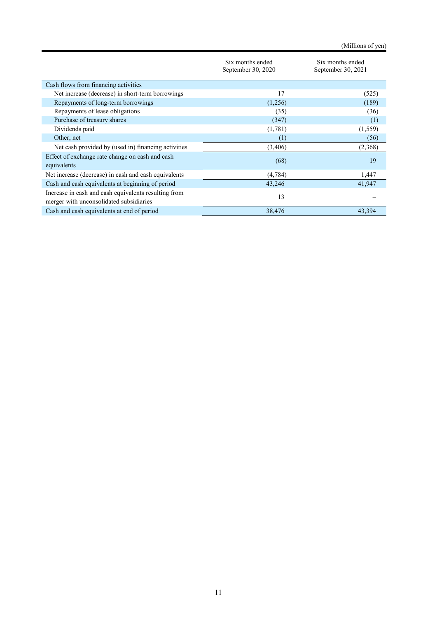(Millions of yen)

|                                                                                                 | Six months ended<br>September 30, 2020 | Six months ended<br>September 30, 2021 |  |  |
|-------------------------------------------------------------------------------------------------|----------------------------------------|----------------------------------------|--|--|
| Cash flows from financing activities                                                            |                                        |                                        |  |  |
| Net increase (decrease) in short-term borrowings                                                | 17                                     | (525)                                  |  |  |
| Repayments of long-term borrowings                                                              | (1,256)                                | (189)                                  |  |  |
| Repayments of lease obligations                                                                 | (35)                                   | (36)                                   |  |  |
| Purchase of treasury shares                                                                     | (347)                                  | (1)                                    |  |  |
| Dividends paid                                                                                  | (1,781)                                | (1, 559)                               |  |  |
| Other, net                                                                                      | (1)                                    | (56)                                   |  |  |
| Net cash provided by (used in) financing activities                                             | (3,406)                                | (2,368)                                |  |  |
| Effect of exchange rate change on cash and cash                                                 |                                        | 19                                     |  |  |
| equivalents                                                                                     | (68)                                   |                                        |  |  |
| Net increase (decrease) in cash and cash equivalents                                            | (4,784)                                | 1,447                                  |  |  |
| Cash and cash equivalents at beginning of period                                                | 43,246                                 | 41,947                                 |  |  |
| Increase in cash and cash equivalents resulting from<br>merger with unconsolidated subsidiaries | 13                                     |                                        |  |  |
| Cash and cash equivalents at end of period                                                      | 38,476                                 | 43,394                                 |  |  |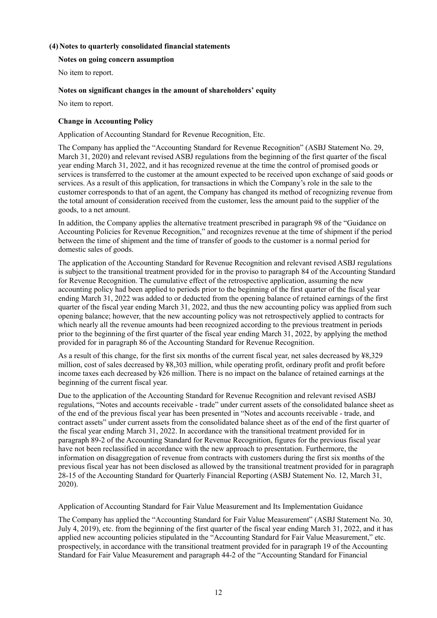## **(4) Notes to quarterly consolidated financial statements**

#### **Notes on going concern assumption**

No item to report.

### **Notes on significant changes in the amount of shareholders' equity**

No item to report.

#### **Change in Accounting Policy**

Application of Accounting Standard for Revenue Recognition, Etc.

The Company has applied the "Accounting Standard for Revenue Recognition" (ASBJ Statement No. 29, March 31, 2020) and relevant revised ASBJ regulations from the beginning of the first quarter of the fiscal year ending March 31, 2022, and it has recognized revenue at the time the control of promised goods or services is transferred to the customer at the amount expected to be received upon exchange of said goods or services. As a result of this application, for transactions in which the Company's role in the sale to the customer corresponds to that of an agent, the Company has changed its method of recognizing revenue from the total amount of consideration received from the customer, less the amount paid to the supplier of the goods, to a net amount.

In addition, the Company applies the alternative treatment prescribed in paragraph 98 of the "Guidance on Accounting Policies for Revenue Recognition," and recognizes revenue at the time of shipment if the period between the time of shipment and the time of transfer of goods to the customer is a normal period for domestic sales of goods.

The application of the Accounting Standard for Revenue Recognition and relevant revised ASBJ regulations is subject to the transitional treatment provided for in the proviso to paragraph 84 of the Accounting Standard for Revenue Recognition. The cumulative effect of the retrospective application, assuming the new accounting policy had been applied to periods prior to the beginning of the first quarter of the fiscal year ending March 31, 2022 was added to or deducted from the opening balance of retained earnings of the first quarter of the fiscal year ending March 31, 2022, and thus the new accounting policy was applied from such opening balance; however, that the new accounting policy was not retrospectively applied to contracts for which nearly all the revenue amounts had been recognized according to the previous treatment in periods prior to the beginning of the first quarter of the fiscal year ending March 31, 2022, by applying the method provided for in paragraph 86 of the Accounting Standard for Revenue Recognition.

As a result of this change, for the first six months of the current fiscal year, net sales decreased by ¥8,329 million, cost of sales decreased by ¥8,303 million, while operating profit, ordinary profit and profit before income taxes each decreased by ¥26 million. There is no impact on the balance of retained earnings at the beginning of the current fiscal year.

Due to the application of the Accounting Standard for Revenue Recognition and relevant revised ASBJ regulations, "Notes and accounts receivable - trade" under current assets of the consolidated balance sheet as of the end of the previous fiscal year has been presented in "Notes and accounts receivable - trade, and contract assets" under current assets from the consolidated balance sheet as of the end of the first quarter of the fiscal year ending March 31, 2022. In accordance with the transitional treatment provided for in paragraph 89-2 of the Accounting Standard for Revenue Recognition, figures for the previous fiscal year have not been reclassified in accordance with the new approach to presentation. Furthermore, the information on disaggregation of revenue from contracts with customers during the first six months of the previous fiscal year has not been disclosed as allowed by the transitional treatment provided for in paragraph 28-15 of the Accounting Standard for Quarterly Financial Reporting (ASBJ Statement No. 12, March 31, 2020).

Application of Accounting Standard for Fair Value Measurement and Its Implementation Guidance

The Company has applied the "Accounting Standard for Fair Value Measurement" (ASBJ Statement No. 30, July 4, 2019), etc. from the beginning of the first quarter of the fiscal year ending March 31, 2022, and it has applied new accounting policies stipulated in the "Accounting Standard for Fair Value Measurement," etc. prospectively, in accordance with the transitional treatment provided for in paragraph 19 of the Accounting Standard for Fair Value Measurement and paragraph 44-2 of the "Accounting Standard for Financial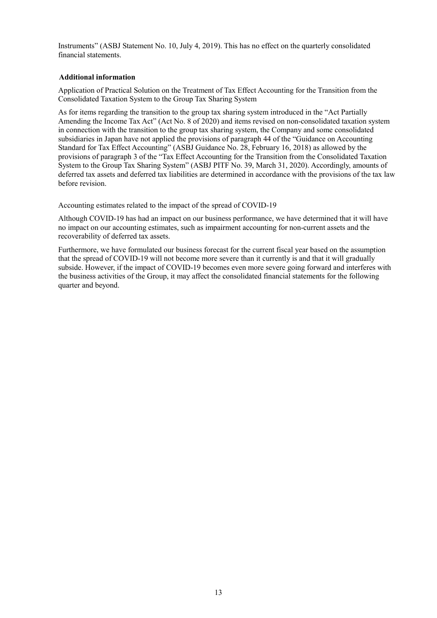Instruments" (ASBJ Statement No. 10, July 4, 2019). This has no effect on the quarterly consolidated financial statements.

## **Additional information**

Application of Practical Solution on the Treatment of Tax Effect Accounting for the Transition from the Consolidated Taxation System to the Group Tax Sharing System

As for items regarding the transition to the group tax sharing system introduced in the "Act Partially Amending the Income Tax Act" (Act No. 8 of 2020) and items revised on non-consolidated taxation system in connection with the transition to the group tax sharing system, the Company and some consolidated subsidiaries in Japan have not applied the provisions of paragraph 44 of the "Guidance on Accounting Standard for Tax Effect Accounting" (ASBJ Guidance No. 28, February 16, 2018) as allowed by the provisions of paragraph 3 of the "Tax Effect Accounting for the Transition from the Consolidated Taxation System to the Group Tax Sharing System" (ASBJ PITF No. 39, March 31, 2020). Accordingly, amounts of deferred tax assets and deferred tax liabilities are determined in accordance with the provisions of the tax law before revision.

Accounting estimates related to the impact of the spread of COVID-19

Although COVID-19 has had an impact on our business performance, we have determined that it will have no impact on our accounting estimates, such as impairment accounting for non-current assets and the recoverability of deferred tax assets.

Furthermore, we have formulated our business forecast for the current fiscal year based on the assumption that the spread of COVID-19 will not become more severe than it currently is and that it will gradually subside. However, if the impact of COVID-19 becomes even more severe going forward and interferes with the business activities of the Group, it may affect the consolidated financial statements for the following quarter and beyond.